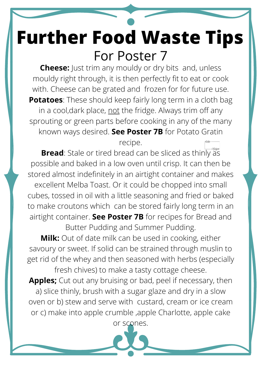## **Further Food Waste Tips** For Poster 7

**Cheese:** Just trim any mouldy or dry bits and, unless mouldy right through, it is then perfectly fit to eat or cook with. Cheese can be grated and frozen for for future use. **Potatoes**: These should keep fairly long term in a cloth bag in a cool,dark place, not the fridge. Always trim off any sprouting or green parts before cooking in any of the many known ways desired. **See Poster 7B** for Potato Gratin recipe.

**Bread**: Stale or tired bread can be sliced as thinly as possible and baked in a low oven until crisp. It can then be stored almost indefinitely in an airtight container and makes excellent Melba Toast. Or it could be chopped into small cubes, tossed in oil with a little seasoning and fried or baked to make croutons which can be stored fairly long term in an airtight container. **See Poster 7B** for recipes for Bread and Butter Pudding and Summer Pudding. **Milk:** Out of date milk can be used in cooking, either savoury or sweet. If solid can be strained through muslin to get rid of the whey and then seasoned with herbs (especially fresh chives) to make a tasty cottage cheese. **Apples;** Cut out any bruising or bad, peel if necessary, then a) slice thinly, brush with a sugar glaze and dry in a slow oven or b) stew and serve with custard, cream or ice cream or c) make into apple crumble ,apple Charlotte, apple cake or scones.